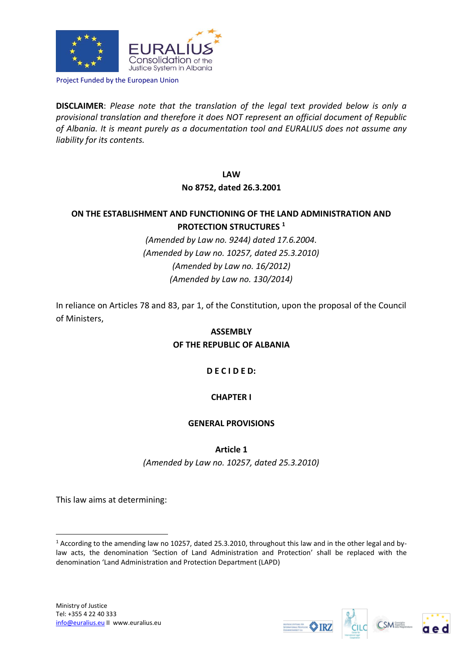

Project Funded by the European Union

**DISCLAIMER**: *Please note that the translation of the legal text provided below is only a provisional translation and therefore it does NOT represent an official document of Republic of Albania. It is meant purely as a documentation tool and EURALIUS does not assume any liability for its contents.*

## **LAW**

## **No 8752, dated 26.3.2001**

# **ON THE ESTABLISHMENT AND FUNCTIONING OF THE LAND ADMINISTRATION AND PROTECTION STRUCTURES <sup>1</sup>**

*(Amended by Law no. 9244) dated 17.6.2004. (Amended by Law no. 10257, dated 25.3.2010) (Amended by Law no. 16/2012) (Amended by Law no. 130/2014)*

In reliance on Articles 78 and 83, par 1, of the Constitution, upon the proposal of the Council of Ministers,

# **ASSEMBLY OF THE REPUBLIC OF ALBANIA**

# **D E C I D E D:**

# **CHAPTER I**

# **GENERAL PROVISIONS**

**Article 1**

*(Amended by Law no. 10257, dated 25.3.2010)*

This law aims at determining:

1







<sup>1</sup> According to the amending law no 10257, dated 25.3.2010, throughout this law and in the other legal and bylaw acts, the denomination 'Section of Land Administration and Protection' shall be replaced with the denomination 'Land Administration and Protection Department (LAPD)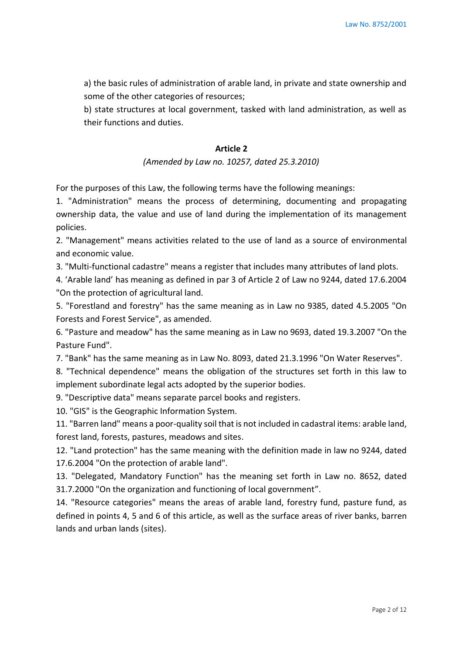a) the basic rules of administration of arable land, in private and state ownership and some of the other categories of resources;

b) state structures at local government, tasked with land administration, as well as their functions and duties.

## **Article 2**

## *(Amended by Law no. 10257, dated 25.3.2010)*

For the purposes of this Law, the following terms have the following meanings:

1. "Administration" means the process of determining, documenting and propagating ownership data, the value and use of land during the implementation of its management policies.

2. "Management" means activities related to the use of land as a source of environmental and economic value.

3. "Multi-functional cadastre" means a register that includes many attributes of land plots.

4. 'Arable land' has meaning as defined in par 3 of Article 2 of Law no 9244, dated 17.6.2004 "On the protection of agricultural land.

5. "Forestland and forestry" has the same meaning as in Law no 9385, dated 4.5.2005 "On Forests and Forest Service", as amended.

6. "Pasture and meadow" has the same meaning as in Law no 9693, dated 19.3.2007 "On the Pasture Fund".

7. "Bank" has the same meaning as in Law No. 8093, dated 21.3.1996 "On Water Reserves".

8. "Technical dependence" means the obligation of the structures set forth in this law to implement subordinate legal acts adopted by the superior bodies.

9. "Descriptive data" means separate parcel books and registers.

10. "GIS" is the Geographic Information System.

11. "Barren land" means a poor-quality soil that is not included in cadastral items: arable land, forest land, forests, pastures, meadows and sites.

12. "Land protection" has the same meaning with the definition made in law no 9244, dated 17.6.2004 "On the protection of arable land".

13. "Delegated, Mandatory Function" has the meaning set forth in Law no. 8652, dated 31.7.2000 "On the organization and functioning of local government".

14. "Resource categories" means the areas of arable land, forestry fund, pasture fund, as defined in points 4, 5 and 6 of this article, as well as the surface areas of river banks, barren lands and urban lands (sites).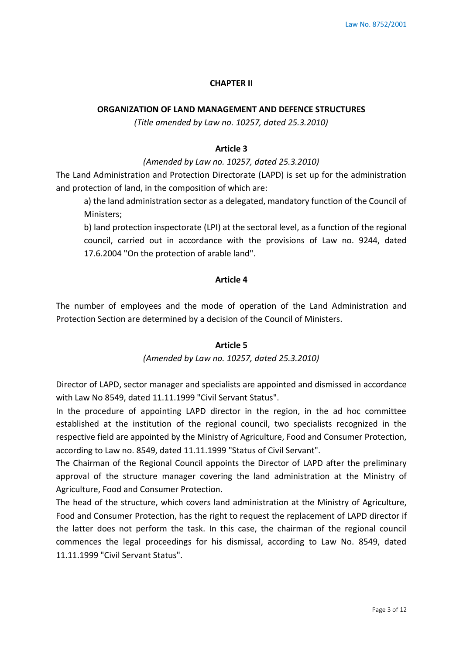### **CHAPTER II**

## **ORGANIZATION OF LAND MANAGEMENT AND DEFENCE STRUCTURES**

*(Title amended by Law no. 10257, dated 25.3.2010)*

## **Article 3**

## *(Amended by Law no. 10257, dated 25.3.2010)*

The Land Administration and Protection Directorate (LAPD) is set up for the administration and protection of land, in the composition of which are:

a) the land administration sector as a delegated, mandatory function of the Council of Ministers;

b) land protection inspectorate (LPI) at the sectoral level, as a function of the regional council, carried out in accordance with the provisions of Law no. 9244, dated 17.6.2004 "On the protection of arable land".

## **Article 4**

The number of employees and the mode of operation of the Land Administration and Protection Section are determined by a decision of the Council of Ministers.

## **Article 5**

#### *(Amended by Law no. 10257, dated 25.3.2010)*

Director of LAPD, sector manager and specialists are appointed and dismissed in accordance with Law No 8549, dated 11.11.1999 "Civil Servant Status".

In the procedure of appointing LAPD director in the region, in the ad hoc committee established at the institution of the regional council, two specialists recognized in the respective field are appointed by the Ministry of Agriculture, Food and Consumer Protection, according to Law no. 8549, dated 11.11.1999 "Status of Civil Servant".

The Chairman of the Regional Council appoints the Director of LAPD after the preliminary approval of the structure manager covering the land administration at the Ministry of Agriculture, Food and Consumer Protection.

The head of the structure, which covers land administration at the Ministry of Agriculture, Food and Consumer Protection, has the right to request the replacement of LAPD director if the latter does not perform the task. In this case, the chairman of the regional council commences the legal proceedings for his dismissal, according to Law No. 8549, dated 11.11.1999 "Civil Servant Status".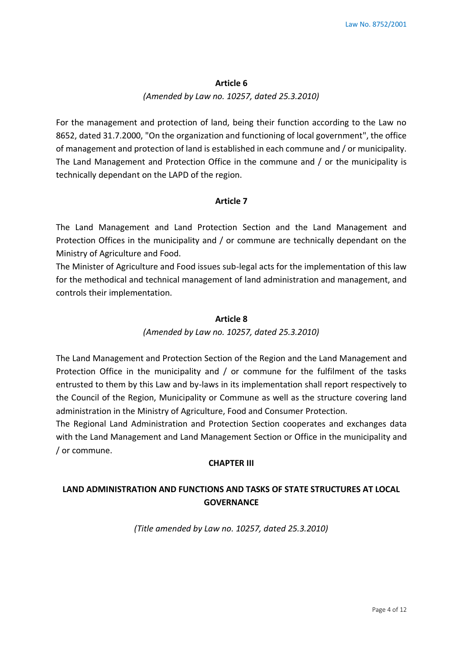#### **Article 6**

#### *(Amended by Law no. 10257, dated 25.3.2010)*

For the management and protection of land, being their function according to the Law no 8652, dated 31.7.2000, "On the organization and functioning of local government", the office of management and protection of land is established in each commune and / or municipality. The Land Management and Protection Office in the commune and / or the municipality is technically dependant on the LAPD of the region.

#### **Article 7**

The Land Management and Land Protection Section and the Land Management and Protection Offices in the municipality and / or commune are technically dependant on the Ministry of Agriculture and Food.

The Minister of Agriculture and Food issues sub-legal acts for the implementation of this law for the methodical and technical management of land administration and management, and controls their implementation.

#### **Article 8**

#### *(Amended by Law no. 10257, dated 25.3.2010)*

The Land Management and Protection Section of the Region and the Land Management and Protection Office in the municipality and / or commune for the fulfilment of the tasks entrusted to them by this Law and by-laws in its implementation shall report respectively to the Council of the Region, Municipality or Commune as well as the structure covering land administration in the Ministry of Agriculture, Food and Consumer Protection.

The Regional Land Administration and Protection Section cooperates and exchanges data with the Land Management and Land Management Section or Office in the municipality and / or commune.

#### **CHAPTER III**

# **LAND ADMINISTRATION AND FUNCTIONS AND TASKS OF STATE STRUCTURES AT LOCAL GOVERNANCE**

*(Title amended by Law no. 10257, dated 25.3.2010)*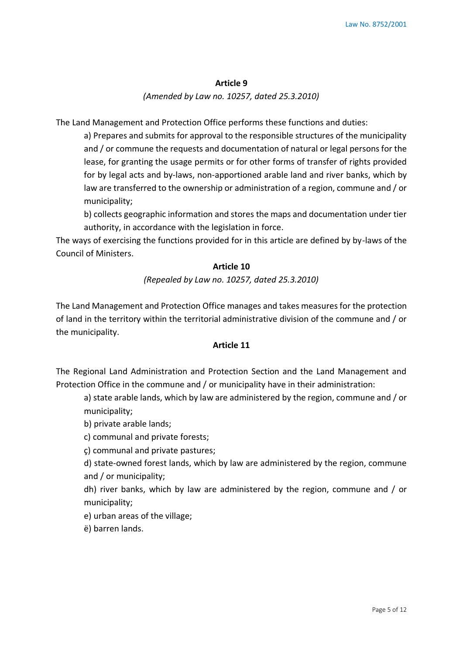#### **Article 9**

*(Amended by Law no. 10257, dated 25.3.2010)*

The Land Management and Protection Office performs these functions and duties:

a) Prepares and submits for approval to the responsible structures of the municipality and / or commune the requests and documentation of natural or legal persons for the lease, for granting the usage permits or for other forms of transfer of rights provided for by legal acts and by-laws, non-apportioned arable land and river banks, which by law are transferred to the ownership or administration of a region, commune and / or municipality;

b) collects geographic information and stores the maps and documentation under tier authority, in accordance with the legislation in force.

The ways of exercising the functions provided for in this article are defined by by-laws of the Council of Ministers.

#### **Article 10**

### *(Repealed by Law no. 10257, dated 25.3.2010)*

The Land Management and Protection Office manages and takes measures for the protection of land in the territory within the territorial administrative division of the commune and / or the municipality.

# **Article 11**

The Regional Land Administration and Protection Section and the Land Management and Protection Office in the commune and / or municipality have in their administration:

a) state arable lands, which by law are administered by the region, commune and / or municipality;

b) private arable lands;

c) communal and private forests;

ç) communal and private pastures;

d) state-owned forest lands, which by law are administered by the region, commune and / or municipality;

dh) river banks, which by law are administered by the region, commune and / or municipality;

e) urban areas of the village;

ë) barren lands.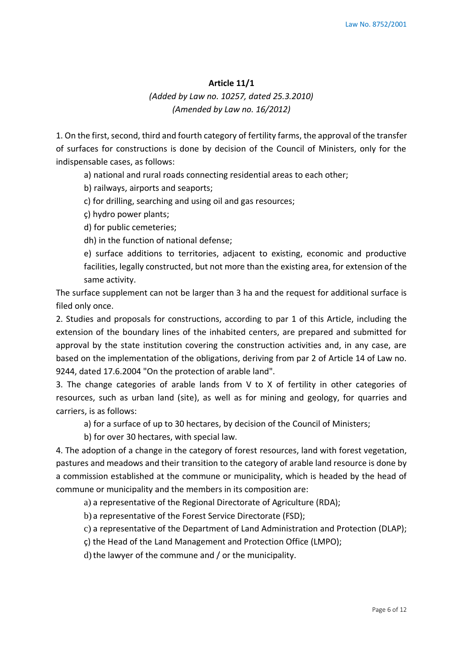#### **Article 11/1**

# *(Added by Law no. 10257, dated 25.3.2010) (Amended by Law no. 16/2012)*

1. On the first, second, third and fourth category of fertility farms, the approval of the transfer of surfaces for constructions is done by decision of the Council of Ministers, only for the indispensable cases, as follows:

a) national and rural roads connecting residential areas to each other;

b) railways, airports and seaports;

c) for drilling, searching and using oil and gas resources;

ç) hydro power plants;

d) for public cemeteries;

dh) in the function of national defense;

e) surface additions to territories, adjacent to existing, economic and productive facilities, legally constructed, but not more than the existing area, for extension of the same activity.

The surface supplement can not be larger than 3 ha and the request for additional surface is filed only once.

2. Studies and proposals for constructions, according to par 1 of this Article, including the extension of the boundary lines of the inhabited centers, are prepared and submitted for approval by the state institution covering the construction activities and, in any case, are based on the implementation of the obligations, deriving from par 2 of Article 14 of Law no. 9244, dated 17.6.2004 "On the protection of arable land".

3. The change categories of arable lands from V to X of fertility in other categories of resources, such as urban land (site), as well as for mining and geology, for quarries and carriers, is as follows:

a) for a surface of up to 30 hectares, by decision of the Council of Ministers;

b) for over 30 hectares, with special law.

4. The adoption of a change in the category of forest resources, land with forest vegetation, pastures and meadows and their transition to the category of arable land resource is done by a commission established at the commune or municipality, which is headed by the head of commune or municipality and the members in its composition are:

a) a representative of the Regional Directorate of Agriculture (RDA);

b) a representative of the Forest Service Directorate (FSD);

c) a representative of the Department of Land Administration and Protection (DLAP);

ç) the Head of the Land Management and Protection Office (LMPO);

d) the lawyer of the commune and / or the municipality.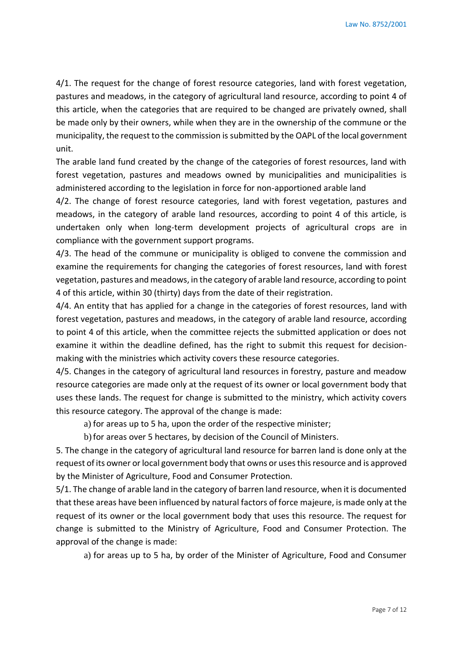4/1. The request for the change of forest resource categories, land with forest vegetation, pastures and meadows, in the category of agricultural land resource, according to point 4 of this article, when the categories that are required to be changed are privately owned, shall be made only by their owners, while when they are in the ownership of the commune or the municipality, the request to the commission is submitted by the OAPL of the local government unit.

The arable land fund created by the change of the categories of forest resources, land with forest vegetation, pastures and meadows owned by municipalities and municipalities is administered according to the legislation in force for non-apportioned arable land

4/2. The change of forest resource categories, land with forest vegetation, pastures and meadows, in the category of arable land resources, according to point 4 of this article, is undertaken only when long-term development projects of agricultural crops are in compliance with the government support programs.

4/3. The head of the commune or municipality is obliged to convene the commission and examine the requirements for changing the categories of forest resources, land with forest vegetation, pastures and meadows, in the category of arable land resource, according to point 4 of this article, within 30 (thirty) days from the date of their registration.

4/4. An entity that has applied for a change in the categories of forest resources, land with forest vegetation, pastures and meadows, in the category of arable land resource, according to point 4 of this article, when the committee rejects the submitted application or does not examine it within the deadline defined, has the right to submit this request for decisionmaking with the ministries which activity covers these resource categories.

4/5. Changes in the category of agricultural land resources in forestry, pasture and meadow resource categories are made only at the request of its owner or local government body that uses these lands. The request for change is submitted to the ministry, which activity covers this resource category. The approval of the change is made:

a) for areas up to 5 ha, upon the order of the respective minister;

b)for areas over 5 hectares, by decision of the Council of Ministers.

5. The change in the category of agricultural land resource for barren land is done only at the request of its owner or local government body that owns or uses this resource and is approved by the Minister of Agriculture, Food and Consumer Protection.

5/1. The change of arable land in the category of barren land resource, when it is documented that these areas have been influenced by natural factors of force majeure, is made only at the request of its owner or the local government body that uses this resource. The request for change is submitted to the Ministry of Agriculture, Food and Consumer Protection. The approval of the change is made:

a) for areas up to 5 ha, by order of the Minister of Agriculture, Food and Consumer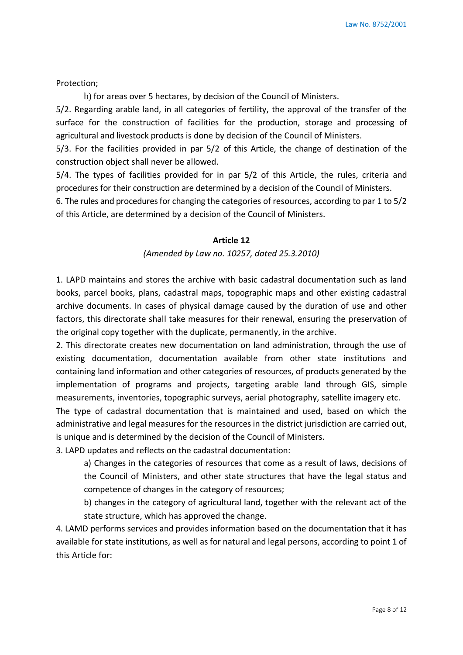Protection;

b) for areas over 5 hectares, by decision of the Council of Ministers.

5/2. Regarding arable land, in all categories of fertility, the approval of the transfer of the surface for the construction of facilities for the production, storage and processing of agricultural and livestock products is done by decision of the Council of Ministers.

5/3. For the facilities provided in par 5/2 of this Article, the change of destination of the construction object shall never be allowed.

5/4. The types of facilities provided for in par 5/2 of this Article, the rules, criteria and procedures for their construction are determined by a decision of the Council of Ministers.

6. The rules and procedures for changing the categories of resources, according to par 1 to 5/2 of this Article, are determined by a decision of the Council of Ministers.

#### **Article 12**

*(Amended by Law no. 10257, dated 25.3.2010)*

1. LAPD maintains and stores the archive with basic cadastral documentation such as land books, parcel books, plans, cadastral maps, topographic maps and other existing cadastral archive documents. In cases of physical damage caused by the duration of use and other factors, this directorate shall take measures for their renewal, ensuring the preservation of the original copy together with the duplicate, permanently, in the archive.

2. This directorate creates new documentation on land administration, through the use of existing documentation, documentation available from other state institutions and containing land information and other categories of resources, of products generated by the implementation of programs and projects, targeting arable land through GIS, simple measurements, inventories, topographic surveys, aerial photography, satellite imagery etc.

The type of cadastral documentation that is maintained and used, based on which the administrative and legal measures for the resources in the district jurisdiction are carried out, is unique and is determined by the decision of the Council of Ministers.

3. LAPD updates and reflects on the cadastral documentation:

a) Changes in the categories of resources that come as a result of laws, decisions of the Council of Ministers, and other state structures that have the legal status and competence of changes in the category of resources;

b) changes in the category of agricultural land, together with the relevant act of the state structure, which has approved the change.

4. LAMD performs services and provides information based on the documentation that it has available for state institutions, as well as for natural and legal persons, according to point 1 of this Article for: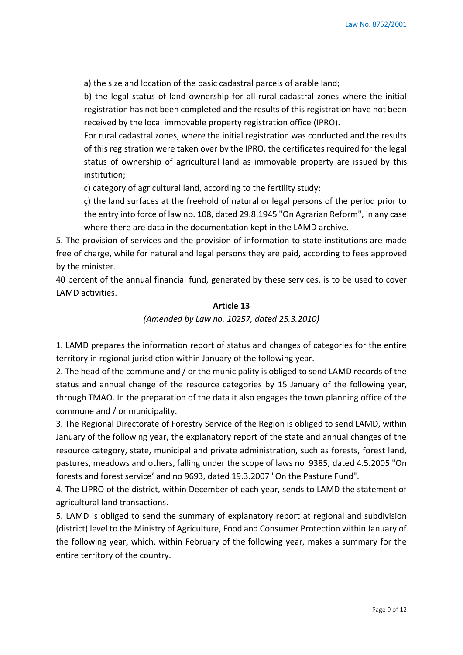a) the size and location of the basic cadastral parcels of arable land;

b) the legal status of land ownership for all rural cadastral zones where the initial registration has not been completed and the results of this registration have not been received by the local immovable property registration office (IPRO).

For rural cadastral zones, where the initial registration was conducted and the results of this registration were taken over by the IPRO, the certificates required for the legal status of ownership of agricultural land as immovable property are issued by this institution;

c) category of agricultural land, according to the fertility study;

ç) the land surfaces at the freehold of natural or legal persons of the period prior to the entry into force of law no. 108, dated 29.8.1945 "On Agrarian Reform", in any case where there are data in the documentation kept in the LAMD archive.

5. The provision of services and the provision of information to state institutions are made free of charge, while for natural and legal persons they are paid, according to fees approved by the minister.

40 percent of the annual financial fund, generated by these services, is to be used to cover LAMD activities.

## **Article 13**

## *(Amended by Law no. 10257, dated 25.3.2010)*

1. LAMD prepares the information report of status and changes of categories for the entire territory in regional jurisdiction within January of the following year.

2. The head of the commune and / or the municipality is obliged to send LAMD records of the status and annual change of the resource categories by 15 January of the following year, through TMAO. In the preparation of the data it also engages the town planning office of the commune and / or municipality.

3. The Regional Directorate of Forestry Service of the Region is obliged to send LAMD, within January of the following year, the explanatory report of the state and annual changes of the resource category, state, municipal and private administration, such as forests, forest land, pastures, meadows and others, falling under the scope of laws no 9385, dated 4.5.2005 "On forests and forest service' and no 9693, dated 19.3.2007 "On the Pasture Fund".

4. The LIPRO of the district, within December of each year, sends to LAMD the statement of agricultural land transactions.

5. LAMD is obliged to send the summary of explanatory report at regional and subdivision (district) level to the Ministry of Agriculture, Food and Consumer Protection within January of the following year, which, within February of the following year, makes a summary for the entire territory of the country.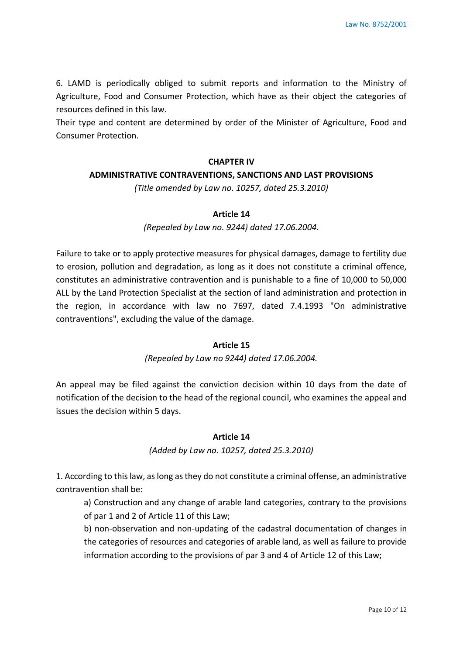6. LAMD is periodically obliged to submit reports and information to the Ministry of Agriculture, Food and Consumer Protection, which have as their object the categories of resources defined in this law.

Their type and content are determined by order of the Minister of Agriculture, Food and Consumer Protection.

## **CHAPTER IV**

## **ADMINISTRATIVE CONTRAVENTIONS, SANCTIONS AND LAST PROVISIONS**

*(Title amended by Law no. 10257, dated 25.3.2010)*

## **Article 14**

## *(Repealed by Law no. 9244) dated 17.06.2004.*

Failure to take or to apply protective measures for physical damages, damage to fertility due to erosion, pollution and degradation, as long as it does not constitute a criminal offence, constitutes an administrative contravention and is punishable to a fine of 10,000 to 50,000 ALL by the Land Protection Specialist at the section of land administration and protection in the region, in accordance with law no 7697, dated 7.4.1993 "On administrative contraventions", excluding the value of the damage.

## **Article 15**

## *(Repealed by Law no 9244) dated 17.06.2004.*

An appeal may be filed against the conviction decision within 10 days from the date of notification of the decision to the head of the regional council, who examines the appeal and issues the decision within 5 days.

## **Article 14**

## *(Added by Law no. 10257, dated 25.3.2010)*

1. According to this law, as long as they do not constitute a criminal offense, an administrative contravention shall be:

a) Construction and any change of arable land categories, contrary to the provisions of par 1 and 2 of Article 11 of this Law;

b) non-observation and non-updating of the cadastral documentation of changes in the categories of resources and categories of arable land, as well as failure to provide information according to the provisions of par 3 and 4 of Article 12 of this Law;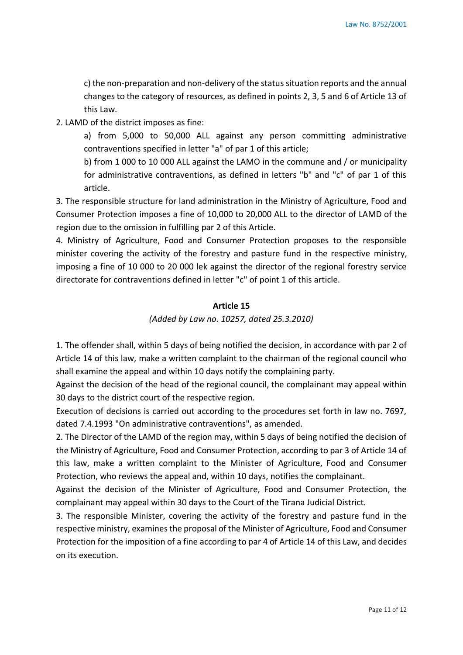c) the non-preparation and non-delivery of the status situation reports and the annual changes to the category of resources, as defined in points 2, 3, 5 and 6 of Article 13 of this Law.

2. LAMD of the district imposes as fine:

a) from 5,000 to 50,000 ALL against any person committing administrative contraventions specified in letter "a" of par 1 of this article;

b) from 1 000 to 10 000 ALL against the LAMO in the commune and / or municipality for administrative contraventions, as defined in letters "b" and "c" of par 1 of this article.

3. The responsible structure for land administration in the Ministry of Agriculture, Food and Consumer Protection imposes a fine of 10,000 to 20,000 ALL to the director of LAMD of the region due to the omission in fulfilling par 2 of this Article.

4. Ministry of Agriculture, Food and Consumer Protection proposes to the responsible minister covering the activity of the forestry and pasture fund in the respective ministry, imposing a fine of 10 000 to 20 000 lek against the director of the regional forestry service directorate for contraventions defined in letter "c" of point 1 of this article.

## **Article 15**

## *(Added by Law no. 10257, dated 25.3.2010)*

1. The offender shall, within 5 days of being notified the decision, in accordance with par 2 of Article 14 of this law, make a written complaint to the chairman of the regional council who shall examine the appeal and within 10 days notify the complaining party.

Against the decision of the head of the regional council, the complainant may appeal within 30 days to the district court of the respective region.

Execution of decisions is carried out according to the procedures set forth in law no. 7697, dated 7.4.1993 "On administrative contraventions", as amended.

2. The Director of the LAMD of the region may, within 5 days of being notified the decision of the Ministry of Agriculture, Food and Consumer Protection, according to par 3 of Article 14 of this law, make a written complaint to the Minister of Agriculture, Food and Consumer Protection, who reviews the appeal and, within 10 days, notifies the complainant.

Against the decision of the Minister of Agriculture, Food and Consumer Protection, the complainant may appeal within 30 days to the Court of the Tirana Judicial District.

3. The responsible Minister, covering the activity of the forestry and pasture fund in the respective ministry, examines the proposal of the Minister of Agriculture, Food and Consumer Protection for the imposition of a fine according to par 4 of Article 14 of this Law, and decides on its execution.